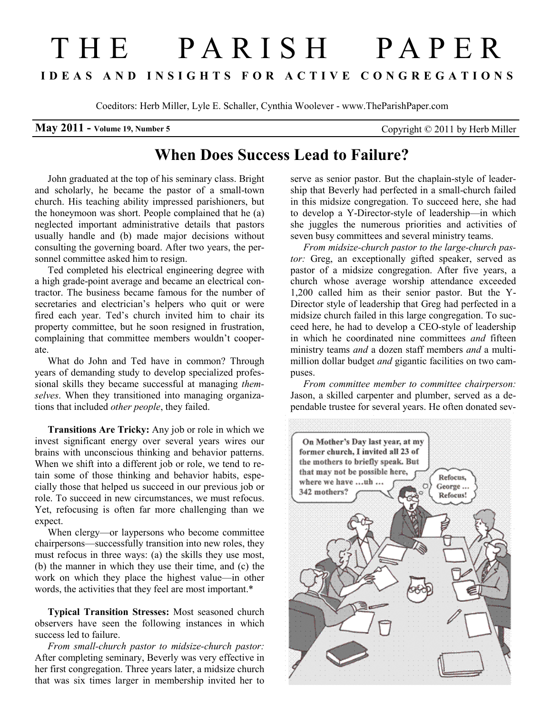## T H E P A R I S H P A P E R I D E A S A N D I N S I G H T S F O R A C T I V E C O N G R E G A T I O N S

Coeditors: Herb Miller, Lyle E. Schaller, Cynthia Woolever - www.TheParishPaper.com

## **May 2011 - Volume 19, Number 5** Copyright  $\odot$  2011 by Herb Miller

## When Does Success Lead to Failure?

John graduated at the top of his seminary class. Bright and scholarly, he became the pastor of a small-town church. His teaching ability impressed parishioners, but the honeymoon was short. People complained that he (a) neglected important administrative details that pastors usually handle and (b) made major decisions without consulting the governing board. After two years, the personnel committee asked him to resign.

Ted completed his electrical engineering degree with a high grade-point average and became an electrical contractor. The business became famous for the number of secretaries and electrician's helpers who quit or were fired each year. Ted's church invited him to chair its property committee, but he soon resigned in frustration, complaining that committee members wouldn't cooperate.

What do John and Ted have in common? Through years of demanding study to develop specialized professional skills they became successful at managing themselves. When they transitioned into managing organizations that included other people, they failed.

Transitions Are Tricky: Any job or role in which we invest significant energy over several years wires our brains with unconscious thinking and behavior patterns. When we shift into a different job or role, we tend to retain some of those thinking and behavior habits, especially those that helped us succeed in our previous job or role. To succeed in new circumstances, we must refocus. Yet, refocusing is often far more challenging than we expect.

When clergy—or laypersons who become committee chairpersons—successfully transition into new roles, they must refocus in three ways: (a) the skills they use most, (b) the manner in which they use their time, and (c) the work on which they place the highest value—in other words, the activities that they feel are most important.\*

Typical Transition Stresses: Most seasoned church observers have seen the following instances in which success led to failure.

From small-church pastor to midsize-church pastor: After completing seminary, Beverly was very effective in her first congregation. Three years later, a midsize church that was six times larger in membership invited her to serve as senior pastor. But the chaplain-style of leadership that Beverly had perfected in a small-church failed in this midsize congregation. To succeed here, she had to develop a Y-Director-style of leadership—in which she juggles the numerous priorities and activities of seven busy committees and several ministry teams.

From midsize-church pastor to the large-church pastor: Greg, an exceptionally gifted speaker, served as pastor of a midsize congregation. After five years, a church whose average worship attendance exceeded 1,200 called him as their senior pastor. But the Y-Director style of leadership that Greg had perfected in a midsize church failed in this large congregation. To succeed here, he had to develop a CEO-style of leadership in which he coordinated nine committees *and* fifteen ministry teams *and* a dozen staff members *and* a multimillion dollar budget *and* gigantic facilities on two campuses.

From committee member to committee chairperson: Jason, a skilled carpenter and plumber, served as a dependable trustee for several years. He often donated sev-